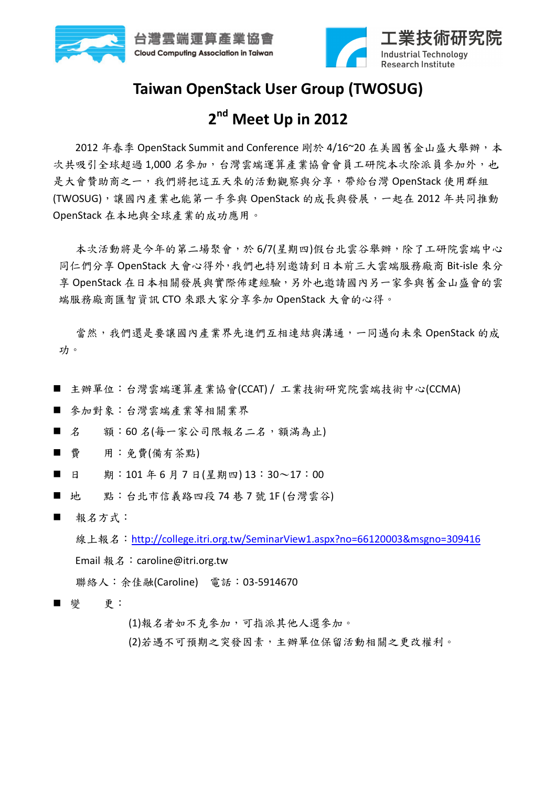



#### **Taiwan OpenStack User Group (TWOSUG)**

### **2 nd Meet Up in 2012**

2012 年春季 OpenStack Summit and Conference 剛於 4/16~20 在美國舊金山盛大舉辦,本 次共吸引全球超過1,000名參加,台灣雲端運算產業協會會員工研院本次除派員參加外,也 是大會贊助商之一,我們將把這五天來的活動觀察與分享,帶給台灣 OpenStack 使用群組 (TWOSUG),讓國內產業也能第一手參與 OpenStack 的成長與發展,一起在 2012 年共同推動 OpenStack 在本地與全球產業的成功應用。

本次活動將是今年的第二場聚會,於 6/7(星期四)假台北雲谷舉辦,除了工研院雲端中心 同仁們分享 OpenStack 大會心得外,我們也特別邀請到日本前三大雲端服務廠商 Bit-isle 來分 享 OpenStack 在日本相關發展與實際佈建經驗,另外也邀請國內另一家參與舊金山盛會的雲 端服務廠商匯智資訊 CTO 來跟大家分享參加 OpenStack 大會的心得。

當然,我們還是要讓國內產業界先進們互相連結與溝通,一同邁向未來 OpenStack 的成 功。

- 主辦單位:台灣雲端運算產業協會(CCAT)/工業技術研究院雲端技術中心(CCMA)
- 參加對象:台灣雲端產業等相關業界
- 名 額:60名(每一家公司限報名二名,額滿為止)
- 費 用:免費(備有茶點)
- 日 期:101年6月7日(星期四)13:30~17:00
- 地 點:台北市信義路四段 74 巷 7 號 1F (台灣雲谷)
- 報名方式:

線上報名:http://college.itri.org.tw/SeminarView1.aspx?no=66120003&msgno=309416 Email 報名:caroline@itri.org.tw

聯絡人:余佳融(Caroline) 電話:03-5914670

■ 變 更:

(1)報名者如不克參加,可指派其他人選參加。

(2)若遇不可預期之突發因素,主辦單位保留活動相關之更改權利。